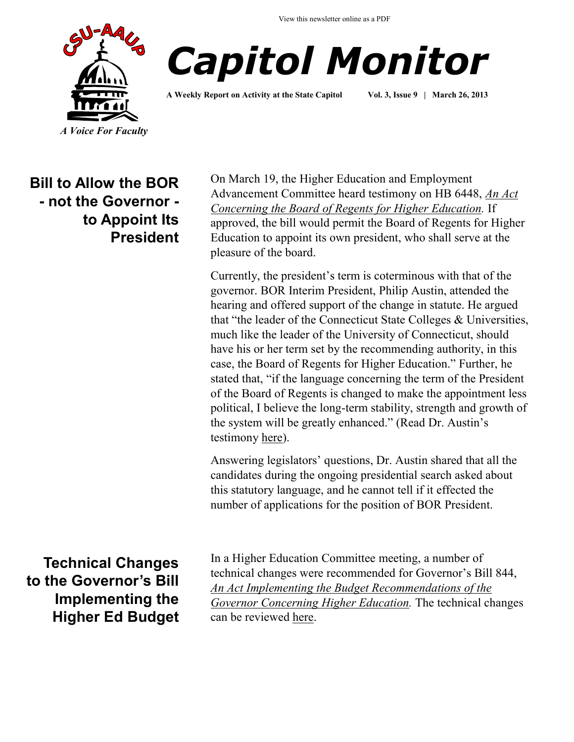View this newsletter online as a PDF





**A Weekly Report on Activity at the State Capitol Vol. 3, Issue 9 | March 26, 2013**

**Bill to Allow the BOR - not the Governor to Appoint Its President** On March 19, the Higher Education and Employment Advancement Committee heard testimony on HB 6448, *[An Act](http://www.cga.ct.gov/asp/cgabillstatus/cgabillstatus.asp?selBillType=Bill&bill_num=6648&which_year=2013&SUBMIT1.x=-680&SUBMIT1.y=0&SUBMIT1=Normal)  [Concerning the Board of Regents for Higher Education.](http://www.cga.ct.gov/asp/cgabillstatus/cgabillstatus.asp?selBillType=Bill&bill_num=6648&which_year=2013&SUBMIT1.x=-680&SUBMIT1.y=0&SUBMIT1=Normal)* If approved, the bill would permit the Board of Regents for Higher Education to appoint its own president, who shall serve at the pleasure of the board.

Currently, the president's term is coterminous with that of the governor. BOR Interim President, Philip Austin, attended the hearing and offered support of the change in statute. He argued that "the leader of the Connecticut State Colleges & Universities, much like the leader of the University of Connecticut, should have his or her term set by the recommending authority, in this case, the Board of Regents for Higher Education." Further, he stated that, "if the language concerning the term of the President of the Board of Regents is changed to make the appointment less political, I believe the long-term stability, strength and growth of the system will be greatly enhanced." (Read Dr. Austin's testimony [here\).](http://www.cga.ct.gov/2013/HEDdata/Tmy/2013HB-06648-R000319-Philip%20E.%20Austin,%20Interim%20President%20of%20the%20Board%20of%20Regents%20of%20Higher%20Education-TMY.PDF)

Answering legislators' questions, Dr. Austin shared that all the candidates during the ongoing presidential search asked about this statutory language, and he cannot tell if it effected the number of applications for the position of BOR President.

**Technical Changes to the Governor's Bill Implementing the Higher Ed Budget**  In a Higher Education Committee meeting, a number of technical changes were recommended for Governor's Bill 844, *[An Act Implementing the Budget Recommendations of the](http://www.cga.ct.gov/2013/TOB/s/pdf/2013SB-00844-R00-SB.pdf)  [Governor Concerning Higher Education.](http://www.cga.ct.gov/2013/TOB/s/pdf/2013SB-00844-R00-SB.pdf)* The technical changes can be reviewed [here.](http://www.csuaaup.org/wp-content/uploads/2013/03/Technical-Changes-to-Governors-Bill-844.docx)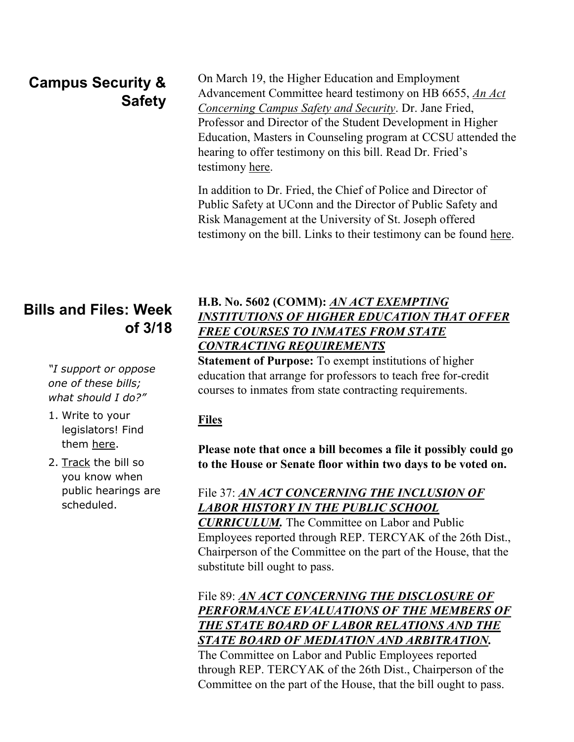# **Campus Security & Safety**

On March 19, the Higher Education and Employment Advancement Committee heard testimony on HB 6655, *[An Act](http://www.cga.ct.gov/asp/cgabillstatus/cgabillstatus.asp?selBillType=Bill&bill_num=6655&which_year=2013&SUBMIT1.x=-643&SUBMIT1.y=0&SUBMIT1=Normal)  [Concerning Campus Safety and Security](http://www.cga.ct.gov/asp/cgabillstatus/cgabillstatus.asp?selBillType=Bill&bill_num=6655&which_year=2013&SUBMIT1.x=-643&SUBMIT1.y=0&SUBMIT1=Normal)*. Dr. Jane Fried, Professor and Director of the Student Development in Higher Education, Masters in Counseling program at CCSU attended the hearing to offer testimony on this bill. Read Dr. Fried's testimony [here.](http://www.cga.ct.gov/2013/HEDdata/Tmy/2013HB-06655-R000319-Dr.%20Jane%20Fried,%20Ph.%20D.,%20Professor,CCSU-TMY.PDF)

In addition to Dr. Fried, the Chief of Police and Director of Public Safety at UConn and the Director of Public Safety and Risk Management at the University of St. Joseph offered testimony on the bill. Links to their testimony can be found [here.](http://www.cga.ct.gov/asp/menu/CommDocTmyBillAllComm.asp?bill=HB-06655&doc_year=2013) 

## **Bills and Files: Week of 3/18**

*"I support or oppose one of these bills; what should I do?"*

- 1. Write to your legislators! Find them [here.](http://www.cga.ct.gov/asp/menu/CGAFindLeg.asp)
- 2. [Track](http://www.cga.ct.gov/aspx/CGAPublicBillTrack/Register.aspx) the bill so you know when public hearings are scheduled.

### **H.B. No. 5602 (COMM):** *[AN ACT EXEMPTING](http://www.cga.ct.gov/asp/cgabillstatus/cgabillstatus.asp?selBillType=Bill&bill_num=HB05602&which_year=2013)  [INSTITUTIONS OF HIGHER EDUCATION THAT OFFER](http://www.cga.ct.gov/asp/cgabillstatus/cgabillstatus.asp?selBillType=Bill&bill_num=HB05602&which_year=2013)  [FREE COURSES TO INMATES FROM STATE](http://www.cga.ct.gov/asp/cgabillstatus/cgabillstatus.asp?selBillType=Bill&bill_num=HB05602&which_year=2013)  [CONTRACTING REQUIREMENTS](http://www.cga.ct.gov/asp/cgabillstatus/cgabillstatus.asp?selBillType=Bill&bill_num=HB05602&which_year=2013)*

**Statement of Purpose:** To exempt institutions of higher education that arrange for professors to teach free for-credit courses to inmates from state contracting requirements.

#### **Files**

**Please note that once a bill becomes a file it possibly could go to the House or Senate floor within two days to be voted on.**

### File 37: *[AN ACT CONCERNING THE INCLUSION OF](http://www.cga.ct.gov/asp/cgabillstatus/cgabillstatus.asp?selBillType=File+Copy&bill_num=37&which_year=2013&SUBMIT1.x=-680&SUBMIT1.y=0&SUBMIT1=Normal)  [LABOR HISTORY IN THE PUBLIC SCHOOL](http://www.cga.ct.gov/asp/cgabillstatus/cgabillstatus.asp?selBillType=File+Copy&bill_num=37&which_year=2013&SUBMIT1.x=-680&SUBMIT1.y=0&SUBMIT1=Normal)*

*[CURRICULUM.](http://www.cga.ct.gov/asp/cgabillstatus/cgabillstatus.asp?selBillType=File+Copy&bill_num=37&which_year=2013&SUBMIT1.x=-680&SUBMIT1.y=0&SUBMIT1=Normal)* The Committee on Labor and Public Employees reported through REP. TERCYAK of the 26th Dist., Chairperson of the Committee on the part of the House, that the substitute bill ought to pass.

File 89: *[AN ACT CONCERNING THE DISCLOSURE OF](http://www.cga.ct.gov/asp/cgabillstatus/cgabillstatus.asp?selBillType=File+Copy&bill_num=89&which_year=2013&SUBMIT1.x=-643&SUBMIT1.y=0&SUBMIT1=Normal)  [PERFORMANCE EVALUATIONS OF THE MEMBERS OF](http://www.cga.ct.gov/asp/cgabillstatus/cgabillstatus.asp?selBillType=File+Copy&bill_num=89&which_year=2013&SUBMIT1.x=-643&SUBMIT1.y=0&SUBMIT1=Normal)  [THE STATE BOARD OF LABOR RELATIONS AND THE](http://www.cga.ct.gov/asp/cgabillstatus/cgabillstatus.asp?selBillType=File+Copy&bill_num=89&which_year=2013&SUBMIT1.x=-643&SUBMIT1.y=0&SUBMIT1=Normal)  [STATE BOARD OF MEDIATION AND ARBITRATION.](http://www.cga.ct.gov/asp/cgabillstatus/cgabillstatus.asp?selBillType=File+Copy&bill_num=89&which_year=2013&SUBMIT1.x=-643&SUBMIT1.y=0&SUBMIT1=Normal)* 

The Committee on Labor and Public Employees reported through REP. TERCYAK of the 26th Dist., Chairperson of the Committee on the part of the House, that the bill ought to pass.